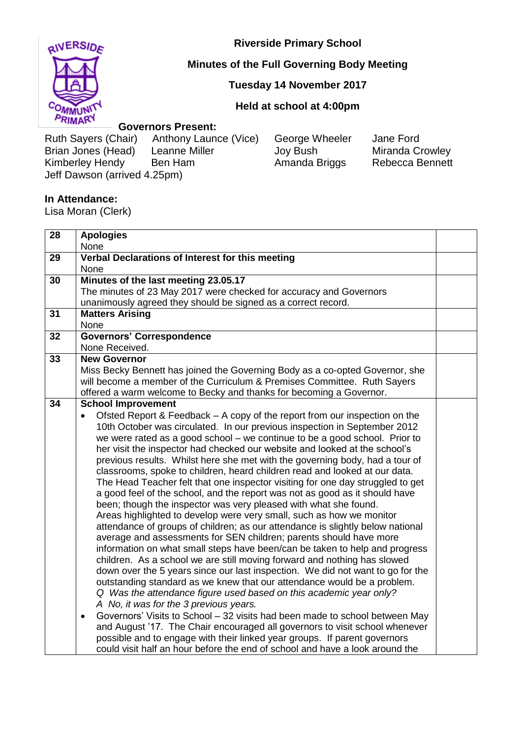

# **Minutes of the Full Governing Body Meeting**

## **Tuesday 14 November 2017**

### **Held at school at 4:00pm**

#### **Governors Present:**

Ruth Sayers (Chair) Anthony Launce (Vice) George Wheeler Jane Ford<br>Brian Jones (Head) Leanne Miller Joy Bush Miranda Crowley Brian Jones (Head) Kimberley Hendy Ben Ham Amanda Briggs Rebecca Bennett Jeff Dawson (arrived 4.25pm)

### **In Attendance:**

Lisa Moran (Clerk)

| 28 | <b>Apologies</b>                                                                         |  |
|----|------------------------------------------------------------------------------------------|--|
|    | None                                                                                     |  |
| 29 | Verbal Declarations of Interest for this meeting                                         |  |
|    | None                                                                                     |  |
| 30 | Minutes of the last meeting 23.05.17                                                     |  |
|    | The minutes of 23 May 2017 were checked for accuracy and Governors                       |  |
|    | unanimously agreed they should be signed as a correct record.                            |  |
| 31 | <b>Matters Arising</b>                                                                   |  |
|    | None                                                                                     |  |
| 32 | <b>Governors' Correspondence</b>                                                         |  |
|    | None Received.                                                                           |  |
| 33 | <b>New Governor</b>                                                                      |  |
|    | Miss Becky Bennett has joined the Governing Body as a co-opted Governor, she             |  |
|    | will become a member of the Curriculum & Premises Committee. Ruth Sayers                 |  |
|    | offered a warm welcome to Becky and thanks for becoming a Governor.                      |  |
| 34 | <b>School Improvement</b>                                                                |  |
|    | Ofsted Report & Feedback – A copy of the report from our inspection on the               |  |
|    | 10th October was circulated. In our previous inspection in September 2012                |  |
|    | we were rated as a good school – we continue to be a good school. Prior to               |  |
|    | her visit the inspector had checked our website and looked at the school's               |  |
|    | previous results. Whilst here she met with the governing body, had a tour of             |  |
|    | classrooms, spoke to children, heard children read and looked at our data.               |  |
|    | The Head Teacher felt that one inspector visiting for one day struggled to get           |  |
|    | a good feel of the school, and the report was not as good as it should have              |  |
|    | been; though the inspector was very pleased with what she found.                         |  |
|    | Areas highlighted to develop were very small, such as how we monitor                     |  |
|    | attendance of groups of children; as our attendance is slightly below national           |  |
|    | average and assessments for SEN children; parents should have more                       |  |
|    | information on what small steps have been/can be taken to help and progress              |  |
|    | children. As a school we are still moving forward and nothing has slowed                 |  |
|    | down over the 5 years since our last inspection. We did not want to go for the           |  |
|    | outstanding standard as we knew that our attendance would be a problem.                  |  |
|    | Q Was the attendance figure used based on this academic year only?                       |  |
|    | A No, it was for the 3 previous years.                                                   |  |
|    | Governors' Visits to School - 32 visits had been made to school between May<br>$\bullet$ |  |
|    | and August '17. The Chair encouraged all governors to visit school whenever              |  |
|    | possible and to engage with their linked year groups. If parent governors                |  |
|    | could visit half an hour before the end of school and have a look around the             |  |

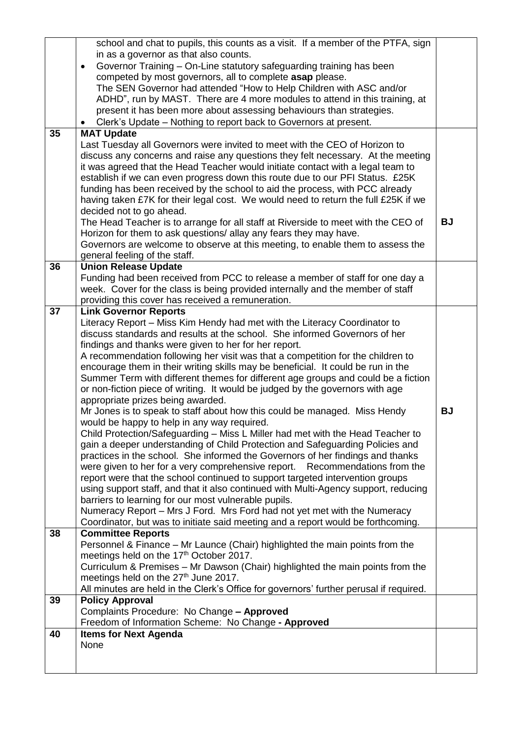|    | school and chat to pupils, this counts as a visit. If a member of the PTFA, sign                                                                                      |           |
|----|-----------------------------------------------------------------------------------------------------------------------------------------------------------------------|-----------|
|    | in as a governor as that also counts.                                                                                                                                 |           |
|    | Governor Training - On-Line statutory safeguarding training has been<br>$\bullet$                                                                                     |           |
|    | competed by most governors, all to complete asap please.                                                                                                              |           |
|    | The SEN Governor had attended "How to Help Children with ASC and/or                                                                                                   |           |
|    | ADHD", run by MAST. There are 4 more modules to attend in this training, at                                                                                           |           |
|    | present it has been more about assessing behaviours than strategies.                                                                                                  |           |
|    | Clerk's Update - Nothing to report back to Governors at present.<br>$\bullet$                                                                                         |           |
| 35 | <b>MAT Update</b>                                                                                                                                                     |           |
|    | Last Tuesday all Governors were invited to meet with the CEO of Horizon to                                                                                            |           |
|    | discuss any concerns and raise any questions they felt necessary. At the meeting                                                                                      |           |
|    | it was agreed that the Head Teacher would initiate contact with a legal team to<br>establish if we can even progress down this route due to our PFI Status. £25K      |           |
|    | funding has been received by the school to aid the process, with PCC already                                                                                          |           |
|    | having taken £7K for their legal cost. We would need to return the full £25K if we                                                                                    |           |
|    | decided not to go ahead.                                                                                                                                              |           |
|    | The Head Teacher is to arrange for all staff at Riverside to meet with the CEO of                                                                                     | <b>BJ</b> |
|    | Horizon for them to ask questions/ allay any fears they may have.                                                                                                     |           |
|    | Governors are welcome to observe at this meeting, to enable them to assess the                                                                                        |           |
|    | general feeling of the staff.                                                                                                                                         |           |
| 36 | <b>Union Release Update</b>                                                                                                                                           |           |
|    | Funding had been received from PCC to release a member of staff for one day a                                                                                         |           |
|    | week. Cover for the class is being provided internally and the member of staff                                                                                        |           |
|    | providing this cover has received a remuneration.                                                                                                                     |           |
| 37 | <b>Link Governor Reports</b>                                                                                                                                          |           |
|    | Literacy Report - Miss Kim Hendy had met with the Literacy Coordinator to                                                                                             |           |
|    | discuss standards and results at the school. She informed Governors of her                                                                                            |           |
|    | findings and thanks were given to her for her report.                                                                                                                 |           |
|    | A recommendation following her visit was that a competition for the children to                                                                                       |           |
|    | encourage them in their writing skills may be beneficial. It could be run in the<br>Summer Term with different themes for different age groups and could be a fiction |           |
|    | or non-fiction piece of writing. It would be judged by the governors with age                                                                                         |           |
|    | appropriate prizes being awarded.                                                                                                                                     |           |
|    | Mr Jones is to speak to staff about how this could be managed. Miss Hendy                                                                                             | <b>BJ</b> |
|    | would be happy to help in any way required.                                                                                                                           |           |
|    | Child Protection/Safeguarding - Miss L Miller had met with the Head Teacher to                                                                                        |           |
|    | gain a deeper understanding of Child Protection and Safeguarding Policies and                                                                                         |           |
|    | practices in the school. She informed the Governors of her findings and thanks                                                                                        |           |
|    | were given to her for a very comprehensive report. Recommendations from the                                                                                           |           |
|    | report were that the school continued to support targeted intervention groups                                                                                         |           |
|    | using support staff, and that it also continued with Multi-Agency support, reducing                                                                                   |           |
|    | barriers to learning for our most vulnerable pupils.                                                                                                                  |           |
|    | Numeracy Report - Mrs J Ford. Mrs Ford had not yet met with the Numeracy                                                                                              |           |
|    | Coordinator, but was to initiate said meeting and a report would be forthcoming.                                                                                      |           |
| 38 | <b>Committee Reports</b>                                                                                                                                              |           |
|    | Personnel & Finance - Mr Launce (Chair) highlighted the main points from the<br>meetings held on the 17 <sup>th</sup> October 2017.                                   |           |
|    | Curriculum & Premises - Mr Dawson (Chair) highlighted the main points from the                                                                                        |           |
|    | meetings held on the 27 <sup>th</sup> June 2017.                                                                                                                      |           |
|    | All minutes are held in the Clerk's Office for governors' further perusal if required.                                                                                |           |
| 39 | <b>Policy Approval</b>                                                                                                                                                |           |
|    | Complaints Procedure: No Change - Approved                                                                                                                            |           |
|    | Freedom of Information Scheme: No Change - Approved                                                                                                                   |           |
| 40 | <b>Items for Next Agenda</b>                                                                                                                                          |           |
|    | None                                                                                                                                                                  |           |
|    |                                                                                                                                                                       |           |
|    |                                                                                                                                                                       |           |